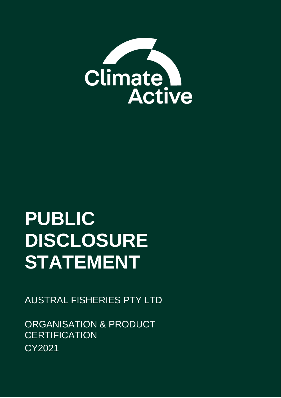

# **PUBLIC DISCLOSURE STATEMENT**

AUSTRAL FISHERIES PTY LTD

ORGANISATION & PRODUCT **CERTIFICATION** CY2021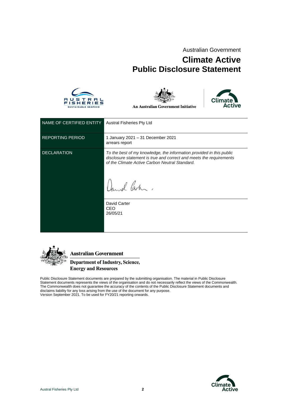Australian Government

### **Climate Active Public Disclosure Statement**





**An Australian Government Initiative** 



| NAME OF CERTIFIED ENTITY | <b>Austral Fisheries Pty Ltd</b>                                                                                                                                                                                                                          |
|--------------------------|-----------------------------------------------------------------------------------------------------------------------------------------------------------------------------------------------------------------------------------------------------------|
| <b>REPORTING PERIOD</b>  | 1 January 2021 - 31 December 2021<br>arrears report                                                                                                                                                                                                       |
| <b>DECLARATION</b>       | To the best of my knowledge, the information provided in this public<br>disclosure statement is true and correct and meets the requirements<br>of the Climate Active Carbon Neutral Standard.<br>Daniel Carter.<br>David Carter<br><b>CEO</b><br>26/05/21 |



**Australian Government** 

**Department of Industry, Science, Energy and Resources** 

Public Disclosure Statement documents are prepared by the submitting organisation. The material in Public Disclosure Statement documents represents the views of the organisation and do not necessarily reflect the views of the Commonwealth. The Commonwealth does not guarantee the accuracy of the contents of the Public Disclosure Statement documents and disclaims liability for any loss arising from the use of the document for any purpose. Version September 2021. To be used for FY20/21 reporting onwards.

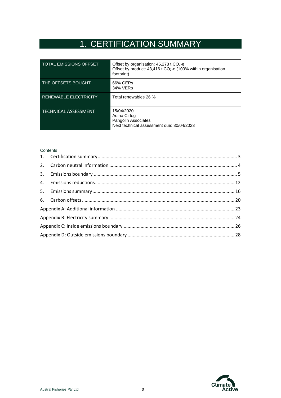# 1. CERTIFICATION SUMMARY

<span id="page-2-0"></span>

| <b>TOTAL EMISSIONS OFFSET</b> | Offset by organisation: $45,278$ t CO <sub>2</sub> -e<br>Offset by product: 43,416 t CO <sub>2</sub> -e (100% within organisation<br>footprint) |
|-------------------------------|-------------------------------------------------------------------------------------------------------------------------------------------------|
| THE OFFSETS BOUGHT            | 66% CERs<br>34% VERs                                                                                                                            |
| <b>RENEWABLE ELECTRICITY</b>  | Total renewables 26 %                                                                                                                           |
| <b>TECHNICAL ASSESSMENT</b>   | 15/04/2020<br>Adina Cirtog<br>Pangolin Associates<br>Next technical assessment due: 30/04/2023                                                  |

#### **Contents**

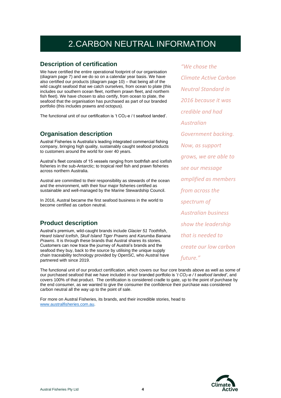# 2.CARBON NEUTRAL INFORMATION

#### <span id="page-3-0"></span>**Description of certification**

We have certified the entire operational footprint of our organisation (diagram page 7) and we do so on a calendar year basis. We have also certified our products (diagram page 10) – that being all of the wild caught seafood that we catch ourselves, from ocean to plate (this includes our southern ocean fleet, northern prawn fleet, and northern fish fleet). We have chosen to also certify, from ocean to plate, the seafood that the organisation has purchased as part of our branded portfolio (this includes prawns and octopus).

The functional unit of our certification is 't  $CO<sub>2</sub>$ -e / t seafood landed'.

#### **Organisation description**

Austral Fisheries is Australia's leading integrated commercial fishing company, bringing high quality, sustainably caught seafood products to customers around the world for over 40 years.

Austral's fleet consists of 15 vessels ranging from toothfish and icefish fisheries in the sub-Antarctic; to tropical reef fish and prawn fisheries across northern Australia.

Austral are committed to their responsibility as stewards of the ocean and the environment, with their four major fisheries certified as sustainable and well-managed by the Marine Stewardship Council.

In 2016, Austral became the first seafood business in the world to become certified as carbon neutral.

### **Product description**

Austral's premium, wild-caught brands include *Glacier 51 Toothfish*, *Heard Island Icefish*, *Skull Island Tiger Prawns* and *Karumba Banana Prawns*. It is through these brands that Austral shares its stories. Customers can now trace the journey of Austral's brands and the seafood they buy, back to the source by utilising the unique supply chain traceability technology provided by OpenSC, who Austral have partnered with since 2019.

The functional unit of our product certification, which covers our four core brands above as well as some of our purchased seafood that we have included in our branded portfolio is '*t CO2-e / t seafood landed'*, and covers 100% of that product. The certification is considered cradle to gate, up to the point of purchase by the end consumer, as we wanted to give the consumer the confidence their purchase was considered carbon neutral all the way up to the point of sale.

For more on Austral Fisheries, its brands, and their incredible stories, head to [www.australfisheries.com.au.](http://www.australfisheries.com.au/)

*"We chose the Climate Active Carbon Neutral Standard in 2016 because it was credible and had Australian Government backing. Now, as support grows, we are able to see our message amplified as members from across the spectrum of Australian business show the leadership that is needed to create our low carbon future."*

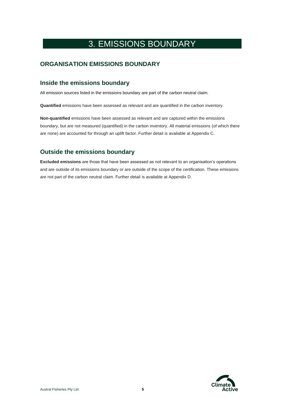## <span id="page-4-0"></span>3. EMISSIONS BOUNDARY

### **ORGANISATION EMISSIONS BOUNDARY**

#### **Inside the emissions boundary**

All emission sources listed in the emissions boundary are part of the carbon neutral claim.

**Quantified** emissions have been assessed as relevant and are quantified in the carbon inventory.

**Non-quantified** emissions have been assessed as relevant and are captured within the emissions boundary, but are not measured (quantified) in the carbon inventory. All material emissions (of which there are none) are accounted for through an uplift factor. Further detail is available at Appendix C.

### **Outside the emissions boundary**

**Excluded emissions** are those that have been assessed as not relevant to an organisation's operations and are outside of its emissions boundary or are outside of the scope of the certification. These emissions are not part of the carbon neutral claim. Further detail is available at Appendix D.

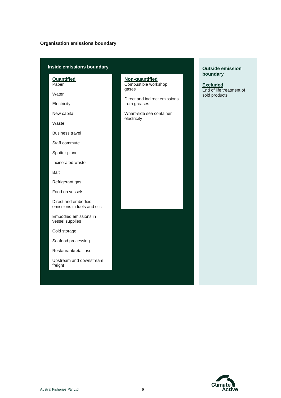#### **Organisation emissions boundary**

#### **Inside emissions boundary**

**Quantified** Paper

Water

**Electricity** 

New capital

Waste

Business travel

Staff commute

Spotter plane

Incinerated waste

Bait

Refrigerant gas

Food on vessels

Direct and embodied emissions in fuels and oils

Embodied emissions in vessel supplies

Cold storage

Seafood processing

Restaurant/retail use

Upstream and downstream freight

**Non-quantified** Combustible workshop gases

Direct and indirect emissions from greases

Wharf-side sea container electricity

#### **Outside emission boundary**

**Excluded** End of life treatment of sold products

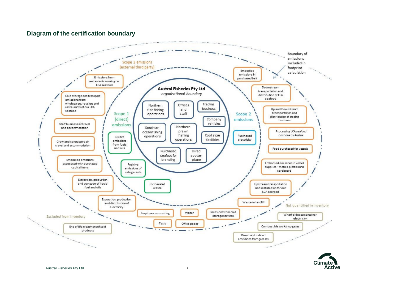#### **Diagram of the certification boundary**



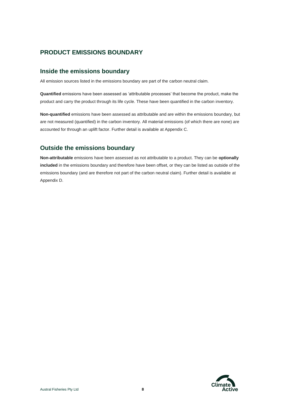### **PRODUCT EMISSIONS BOUNDARY**

#### **Inside the emissions boundary**

All emission sources listed in the emissions boundary are part of the carbon neutral claim.

**Quantified** emissions have been assessed as 'attributable processes' that become the product, make the product and carry the product through its life cycle. These have been quantified in the carbon inventory.

**Non-quantified** emissions have been assessed as attributable and are within the emissions boundary, but are not measured (quantified) in the carbon inventory. All material emissions (of which there are none) are accounted for through an uplift factor. Further detail is available at Appendix C.

#### **Outside the emissions boundary**

**Non-attributable** emissions have been assessed as not attributable to a product. They can be **optionally included** in the emissions boundary and therefore have been offset, or they can be listed as outside of the emissions boundary (and are therefore not part of the carbon neutral claim). Further detail is available at Appendix D.

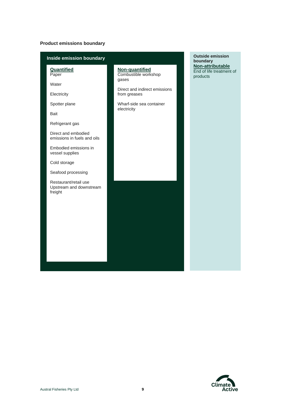#### **Product emissions boundary**

| Inside emission boundary                                                                                                                             | <b>Outside emission</b><br>boundary                                                                                                         |                                                          |
|------------------------------------------------------------------------------------------------------------------------------------------------------|---------------------------------------------------------------------------------------------------------------------------------------------|----------------------------------------------------------|
| <b>Quantified</b><br>Paper<br>Water<br>Electricity<br>Spotter plane<br>Bait<br>Refrigerant gas<br>Direct and embodied<br>emissions in fuels and oils | Non-quantified<br>Combustible workshop<br>gases<br>Direct and indirect emissions<br>from greases<br>Wharf-side sea container<br>electricity | Non-attributable<br>End of life treatment of<br>products |
| Embodied emissions in<br>vessel supplies<br>Cold storage                                                                                             |                                                                                                                                             |                                                          |
| Seafood processing<br>Restaurant/retail use<br>Upstream and downstream<br>freight                                                                    |                                                                                                                                             |                                                          |
|                                                                                                                                                      |                                                                                                                                             |                                                          |

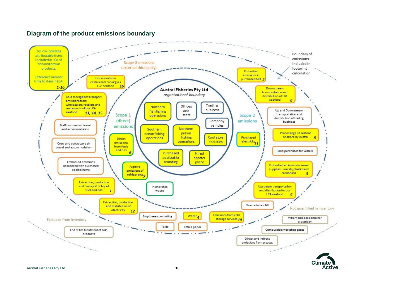#### **Diagram of the product emissions boundary**

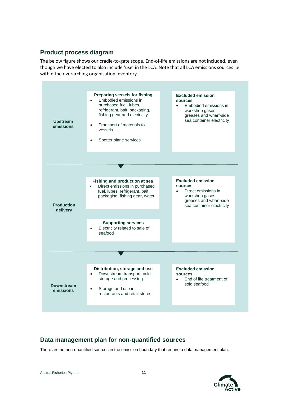#### **Product process diagram**

The below figure shows our cradle-to-gate scope. End-of-life emissions are not included, even though we have elected to also include 'use' in the LCA. Note that all LCA emissions sources lie within the overarching organisation inventory.



### **Data management plan for non-quantified sources**

There are no non-quantified sources in the emission boundary that require a data management plan.

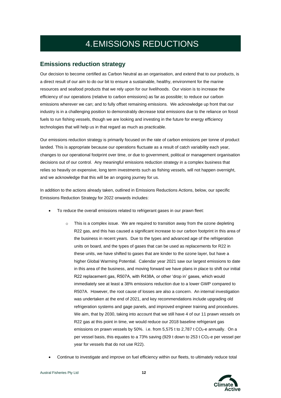# 4.EMISSIONS REDUCTIONS

#### <span id="page-11-0"></span>**Emissions reduction strategy**

Our decision to become certified as Carbon Neutral as an organisation, and extend that to our products, is a direct result of our aim to do our bit to ensure a sustainable, healthy, environment for the marine resources and seafood products that we rely upon for our livelihoods. Our vision is to increase the efficiency of our operations (relative to carbon emissions) as far as possible; to reduce our carbon emissions wherever we can; and to fully offset remaining emissions. We acknowledge up front that our industry is in a challenging position to demonstrably decrease total emissions due to the reliance on fossil fuels to run fishing vessels, though we are looking and investing in the future for energy efficiency technologies that will help us in that regard as much as practicable.

Our emissions reduction strategy is primarily focused on the rate of carbon emissions per tonne of product landed. This is appropriate because our operations fluctuate as a result of catch variability each year, changes to our operational footprint over time, or due to government, political or management organisation decisions out of our control. Any meaningful emissions reduction strategy in a complex business that relies so heavily on expensive, long term investments such as fishing vessels, will not happen overnight, and we acknowledge that this will be an ongoing journey for us.

In addition to the actions already taken, outlined in Emissions Reductions Actions, below, our specific Emissions Reduction Strategy for 2022 onwards includes:

- To reduce the overall emissions related to refrigerant gases in our prawn fleet:
	- o This is a complex issue. We are required to transition away from the ozone depleting R22 gas, and this has caused a significant increase to our carbon footprint in this area of the business in recent years. Due to the types and advanced age of the refrigeration units on board, and the types of gases that can be used as replacements for R22 in these units, we have shifted to gases that are kinder to the ozone layer, but have a higher Global Warming Potential. Calendar year 2021 saw our largest emissions to date in this area of the business, and moving forward we have plans in place to shift our initial R22 replacement gas, R507A, with R438A, or other 'drop in' gases, which would immediately see at least a 38% emissions reduction due to a lower GWP compared to R507A. However, the root cause of losses are also a concern. An internal investigation was undertaken at the end of 2021, and key recommendations include upgrading old refrigeration systems and gage panels, and improved engineer training and procedures. We aim, that by 2030, taking into account that we still have 4 of our 11 prawn vessels on R22 gas at this point in time, we would reduce our 2018 baseline refrigerant gas emissions on prawn vessels by 50%. i.e. from 5.575 t to 2.787 t  $CO<sub>2</sub>$ -e annually. On a per vessel basis, this equates to a 73% saving (929 t down to 253 t  $CO<sub>2</sub>$ -e per vessel per year for vessels that do not use R22).
- Continue to investigate and improve on fuel efficiency within our fleets, to ultimately reduce total

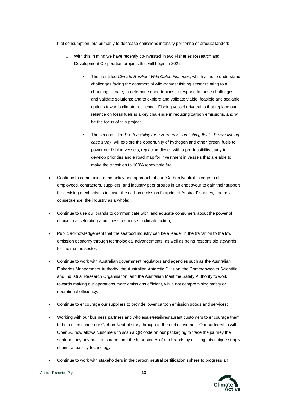fuel consumption, but primarily to decrease emissions intensity per tonne of product landed:

- o With this in mind we have recently co-invested in two Fisheries Research and Development Corporation projects that will begin in 2022:
	- The first titled *Climate Resilient Wild Catch Fisheries*, which aims to understand challenges facing the commercial wild-harvest fishing sector relating to a changing climate; to determine opportunities to respond to those challenges, and validate solutions; and to explore and validate viable, feasible and scalable options towards climate resilience. Fishing vessel drivetrains that replace our reliance on fossil fuels is a key challenge in reducing carbon emissions, and will be the focus of this project.
	- The second titled *Pre-feasibility for a zero emission fishing fleet - Prawn fishing case study*, will explore the opportunity of hydrogen and other 'green' fuels to power our fishing vessels, replacing diesel, with a pre-feasibility study to develop priorities and a road map for investment in vessels that are able to make the transition to 100% renewable fuel.
- Continue to communicate the policy and approach of our "Carbon Neutral" pledge to all employees, contractors, suppliers, and industry peer groups in an endeavour to gain their support for devising mechanisms to lower the carbon emission footprint of Austral Fisheries, and as a consequence, the industry as a whole;
- Continue to use our brands to communicate with, and educate consumers about the power of choice in accelerating a business response to climate action;
- Public acknowledgement that the seafood industry can be a leader in the transition to the low emission economy through technological advancements, as well as being responsible stewards for the marine sector;
- Continue to work with Australian government regulators and agencies such as the Australian Fisheries Management Authority, the Australian Antarctic Division, the Commonwealth Scientific and Industrial Research Organisation, and the Australian Maritime Safety Authority to work towards making our operations more emissions efficient, while not compromising safety or operational efficiency;
- Continue to encourage our suppliers to provide lower carbon emission goods and services;
- Working with our business partners and wholesale/retail/restaurant customers to encourage them to help us continue our Carbon Neutral story through to the end consumer. Our partnership with OpenSC now allows customers to scan a QR code on our packaging to trace the journey the seafood they buy back to source, and the hear stories of our brands by utilising this unique supply chain traceability technology;
- Continue to work with stakeholders in the carbon neutral certification sphere to progress an

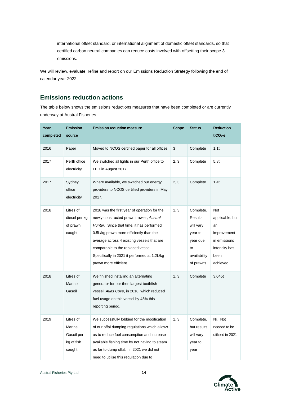international offset standard, or international alignment of domestic offset standards, so that certified carbon neutral companies can reduce costs involved with offsetting their scope 3 emissions.

We will review, evaluate, refine and report on our Emissions Reduction Strategy following the end of calendar year 2022.

#### **Emissions reduction actions**

The table below shows the emissions reductions measures that have been completed or are currently underway at Austral Fisheries.

| Year<br>completed | <b>Emission</b><br>source                                 | <b>Emission reduction measure</b>                                                                                                                                                                                                                                                                                                             | <b>Scope</b> | <b>Status</b>                                                                                       | <b>Reduction</b><br>$t CO2-e$                                                                     |
|-------------------|-----------------------------------------------------------|-----------------------------------------------------------------------------------------------------------------------------------------------------------------------------------------------------------------------------------------------------------------------------------------------------------------------------------------------|--------------|-----------------------------------------------------------------------------------------------------|---------------------------------------------------------------------------------------------------|
| 2016              | Paper                                                     | Moved to NCOS certified paper for all offices                                                                                                                                                                                                                                                                                                 | 3            | Complete                                                                                            | 1.1t                                                                                              |
| 2017              | Perth office<br>electricity                               | We switched all lights in our Perth office to<br>LED in August 2017.                                                                                                                                                                                                                                                                          | 2, 3         | Complete                                                                                            | 5.8t                                                                                              |
| 2017              | Sydney<br>office<br>electricity                           | Where available, we switched our energy<br>providers to NCOS certified providers in May<br>2017.                                                                                                                                                                                                                                              | 2, 3         | Complete                                                                                            | 1.4t                                                                                              |
| 2018              | Litres of<br>diesel per kg<br>of prawn<br>caught          | 2018 was the first year of operation for the<br>newly constructed prawn trawler, Austral<br>Hunter. Since that time, it has performed<br>0.5L/kg prawn more efficiently than the<br>average across 4 existing vessels that are<br>comparable to the replaced vessel.<br>Specifically in 2021 it performed at 1.2L/kg<br>prawn more efficient. | 1, 3         | Complete.<br><b>Results</b><br>will vary<br>year to<br>year due<br>to<br>availability<br>of prawns. | Not<br>applicable, but<br>an<br>improvement<br>in emissions<br>intensity has<br>been<br>achieved. |
| 2018              | Litres of<br>Marine<br>Gasoil                             | We finished installing an alternating<br>generator for our then largest toothfish<br>vessel, Atlas Cove, in 2018, which reduced<br>fuel usage on this vessel by 45% this<br>reporting period.                                                                                                                                                 | 1, 3         | Complete                                                                                            | 3,045t                                                                                            |
| 2019              | Litres of<br>Marine<br>Gasoil per<br>kg of fish<br>caught | We successfully lobbied for the modification<br>of our offal dumping regulations which allows<br>us to reduce fuel consumption and increase<br>available fishing time by not having to steam<br>as far to dump offal. In 2021 we did not<br>need to utilise this regulation due to                                                            | 1, 3         | Complete,<br>but results<br>will vary<br>year to<br>year                                            | Nil. Not<br>needed to be<br>utilised in 2021                                                      |

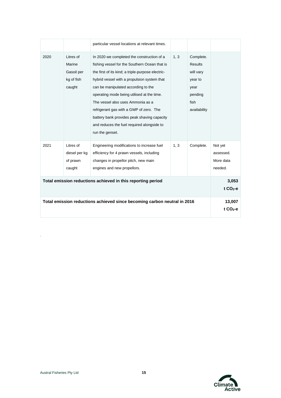|      |                                                           | particular vessel locations at relevant times.                                                                                                                                                                                                                                                                                                                                                                                                                                       |      |                                                                                                |                                              |
|------|-----------------------------------------------------------|--------------------------------------------------------------------------------------------------------------------------------------------------------------------------------------------------------------------------------------------------------------------------------------------------------------------------------------------------------------------------------------------------------------------------------------------------------------------------------------|------|------------------------------------------------------------------------------------------------|----------------------------------------------|
| 2020 | Litres of<br>Marine<br>Gasoil per<br>kg of fish<br>caught | In 2020 we completed the construction of a<br>fishing vessel for the Southern Ocean that is<br>the first of its kind; a triple-purpose electric-<br>hybrid vessel with a propulsion system that<br>can be manipulated according to the<br>operating mode being utilised at the time.<br>The vessel also uses Ammonia as a<br>refrigerant gas with a GWP of zero. The<br>battery bank provides peak shaving capacity<br>and reduces the fuel required alongside to<br>run the genset. | 1, 3 | Complete.<br><b>Results</b><br>will vary<br>year to<br>year<br>pending<br>fish<br>availability |                                              |
| 2021 | Litres of<br>diesel per kg<br>of prawn<br>caught          | Engineering modifications to increase fuel<br>efficiency for 4 prawn vessels, including<br>changes in propellor pitch, new main<br>engines and new propellors.                                                                                                                                                                                                                                                                                                                       | 1, 3 | Complete.                                                                                      | Not yet<br>assessed.<br>More data<br>needed. |
|      |                                                           | Total emission reductions achieved in this reporting period                                                                                                                                                                                                                                                                                                                                                                                                                          |      |                                                                                                | 3,053<br>$t CO2-e$                           |
|      |                                                           | Total emission reductions achieved since becoming carbon neutral in 2016                                                                                                                                                                                                                                                                                                                                                                                                             |      |                                                                                                | 13,007<br>t $CO2-e$                          |



.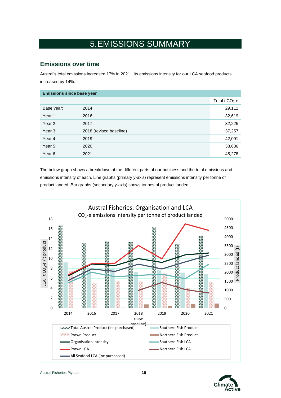# 5.EMISSIONS SUMMARY

### <span id="page-15-0"></span>**Emissions over time**

Austral's total emissions increased 17% in 2021. Its emissions intensity for our LCA seafood products increased by 14%.

| <b>Emissions since base year</b> |                         |                              |
|----------------------------------|-------------------------|------------------------------|
|                                  |                         | Total $t$ CO <sub>2</sub> -e |
| Base year:                       | 2014                    | 29,111                       |
| Year 1:                          | 2016                    | 32,619                       |
| Year 2:                          | 2017                    | 32,225                       |
| Year 3:                          | 2018 (revised baseline) | 37,257                       |
| Year 4:                          | 2019                    | 42,091                       |
| Year 5:                          | 2020                    | 38,636                       |
| Year 6:                          | 2021                    | 45,278                       |

The below graph shows a breakdown of the different parts of our business and the total emissions and emissions intensity of each. Line graphs (primary y-axis) represent emissions intensity per tonne of product landed. Bar graphs (secondary y-axis) shows tonnes of product landed.



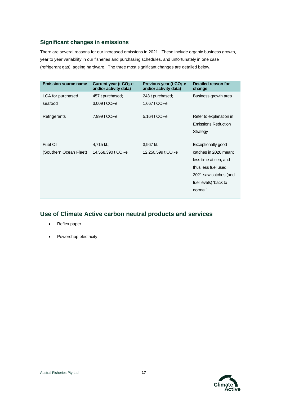#### **Significant changes in emissions**

There are several reasons for our increased emissions in 2021. These include organic business growth, year to year variability in our fisheries and purchasing schedules, and unfortunately in one case (refrigerant gas), ageing hardware. The three most significant changes are detailed below.

| <b>Emission source name</b>        | Current year (t CO <sub>2</sub> -e           | Previous year (t CO <sub>2</sub> -e              | Detailed reason for                                                                                                                                        |
|------------------------------------|----------------------------------------------|--------------------------------------------------|------------------------------------------------------------------------------------------------------------------------------------------------------------|
|                                    | and/or activity data)                        | and/or activity data)                            | change                                                                                                                                                     |
| LCA for purchased                  | 457 t purchased;                             | 243 t purchased;                                 | Business growth area                                                                                                                                       |
| seafood                            | $3,009$ t CO <sub>2</sub> -e                 | 1,667 t $CO2$ -e                                 |                                                                                                                                                            |
| Refrigerants                       | 7,999 t $CO2$ -e                             | $5,164$ t CO <sub>2</sub> -e                     | Refer to explanation in<br><b>Emissions Reduction</b><br>Strategy                                                                                          |
| Fuel Oil<br>(Southern Ocean Fleet) | 4,715 kL;<br>14,558,390 t CO <sub>2</sub> -e | $3,967$ kL;<br>$12,250,599$ t CO <sub>2</sub> -e | Exceptionally good<br>catches in 2020 meant<br>less time at sea, and<br>thus less fuel used.<br>2021 saw catches (and<br>fuel levels) 'back to<br>normal.' |

#### **Use of Climate Active carbon neutral products and services**

- Reflex paper
- Powershop electricity

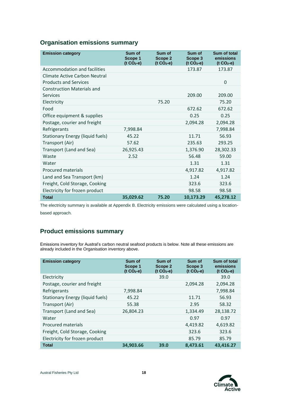### **Organisation emissions summary**

| <b>Emission category</b>                                      | Sum of<br>Scope 1<br>$(t CO2-e)$ | Sum of<br>Scope 2<br>$(t CO2-e)$ | Sum of<br>Scope 3<br>$(t CO2-e)$ | Sum of total<br>emissions<br>$(t CO2-e)$ |
|---------------------------------------------------------------|----------------------------------|----------------------------------|----------------------------------|------------------------------------------|
| Accommodation and facilities                                  |                                  |                                  | 173.87                           | 173.87                                   |
| Climate Active Carbon Neutral<br><b>Products and Services</b> |                                  |                                  |                                  | $\Omega$                                 |
| <b>Construction Materials and</b><br>Services                 |                                  |                                  | 209.00                           | 209.00                                   |
| Electricity                                                   |                                  | 75.20                            |                                  | 75.20                                    |
| Food                                                          |                                  |                                  | 672.62                           | 672.62                                   |
| Office equipment & supplies                                   |                                  |                                  | 0.25                             | 0.25                                     |
| Postage, courier and freight                                  |                                  |                                  | 2,094.28                         | 2,094.28                                 |
| Refrigerants                                                  | 7,998.84                         |                                  |                                  | 7,998.84                                 |
| <b>Stationary Energy (liquid fuels)</b>                       | 45.22                            |                                  | 11.71                            | 56.93                                    |
| Transport (Air)                                               | 57.62                            |                                  | 235.63                           | 293.25                                   |
| Transport (Land and Sea)                                      | 26,925.43                        |                                  | 1,376.90                         | 28,302.33                                |
| Waste                                                         | 2.52                             |                                  | 56.48                            | 59.00                                    |
| Water                                                         |                                  |                                  | 1.31                             | 1.31                                     |
| <b>Procured materials</b>                                     |                                  |                                  | 4,917.82                         | 4,917.82                                 |
| Land and Sea Transport (km)                                   |                                  |                                  | 1.24                             | 1.24                                     |
| Freight, Cold Storage, Cooking                                |                                  |                                  | 323.6                            | 323.6                                    |
| Electricity for frozen product                                |                                  |                                  | 98.58                            | 98.58                                    |
| <b>Total</b>                                                  | 35,029.62                        | 75.20                            | 10,173.29                        | 45,278.12                                |

The electricity summary is available at Appendix B. Electricity emissions were calculated using a locationbased approach.

### **Product emissions summary**

Emissions inventory for Austral's carbon neutral seafood products is below. Note all these emissions are already included in the Organisation inventory above.

| <b>Emission category</b>                | Sum of<br>Scope 1<br>$(t CO2-e)$ | Sum of<br>Scope 2<br>$(t CO2-e)$ | Sum of<br>Scope 3<br>$(t CO2-e)$ | Sum of total<br>emissions<br>$(t CO2-e)$ |
|-----------------------------------------|----------------------------------|----------------------------------|----------------------------------|------------------------------------------|
| Electricity                             |                                  | 39.0                             |                                  | 39.0                                     |
| Postage, courier and freight            |                                  |                                  | 2,094.28                         | 2,094.28                                 |
| Refrigerants                            | 7,998.84                         |                                  |                                  | 7,998.84                                 |
| <b>Stationary Energy (liquid fuels)</b> | 45.22                            |                                  | 11.71                            | 56.93                                    |
| Transport (Air)                         | 55.38                            |                                  | 2.95                             | 58.32                                    |
| Transport (Land and Sea)                | 26,804.23                        |                                  | 1,334.49                         | 28,138.72                                |
| Water                                   |                                  |                                  | 0.97                             | 0.97                                     |
| <b>Procured materials</b>               |                                  |                                  | 4,419.82                         | 4,619.82                                 |
| Freight, Cold Storage, Cooking          |                                  |                                  | 323.6                            | 323.6                                    |
| Electricity for frozen product          |                                  |                                  | 85.79                            | 85.79                                    |
| <b>Total</b>                            | 34,903.66                        | 39.0                             | 8,473.61                         | 43,416.27                                |

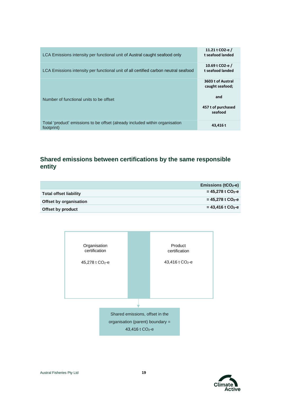| LCA Emissions intensity per functional unit of Austral caught seafood only                 | 11.21 t CO2-e /<br>t seafood landed   |
|--------------------------------------------------------------------------------------------|---------------------------------------|
| LCA Emissions intensity per functional unit of all certified carbon neutral seafood        | 10.69 t CO2-e $/$<br>t seafood landed |
|                                                                                            | 3603 t of Austral<br>caught seafood;  |
| Number of functional units to be offset                                                    | and<br>457 t of purchased<br>seafood  |
|                                                                                            |                                       |
| Total 'product' emissions to be offset (already included within organisation<br>footprint) | 43.416 t                              |

### **Shared emissions between certifications by the same responsible entity**

|                        | Emissions ( $tCO2$ -e)          |
|------------------------|---------------------------------|
| Total offset liability | $= 45,278$ t CO <sub>2</sub> -e |
| Offset by organisation | $= 45,278$ t CO <sub>2</sub> -e |
| Offset by product      | $= 43.416$ t CO <sub>2</sub> -e |



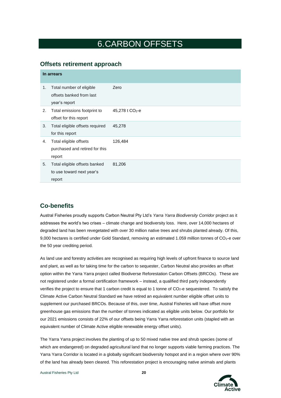### 6.CARBON OFFSETS

#### <span id="page-19-0"></span>**Offsets retirement approach**

|    | In arrears                                                            |                             |  |  |  |  |
|----|-----------------------------------------------------------------------|-----------------------------|--|--|--|--|
| 1. | Total number of eligible<br>offsets banked from last<br>year's report | Zero                        |  |  |  |  |
| 2. | Total emissions footprint to<br>offset for this report                | 45,278 t CO <sub>2</sub> -e |  |  |  |  |
| 3. | Total eligible offsets required<br>for this report                    | 45,278                      |  |  |  |  |
| 4. | Total eligible offsets<br>purchased and retired for this<br>report    | 126,484                     |  |  |  |  |
| 5. | Total eligible offsets banked<br>to use toward next year's<br>report  | 81,206                      |  |  |  |  |

#### **Co-benefits**

Austral Fisheries proudly supports Carbon Neutral Pty Ltd's *Yarra Yarra Biodiversity Corridor* project as it addresses the world's two crises – climate change and biodiversity loss. Here, over 14,000 hectares of degraded land has been revegetated with over 30 million native trees and shrubs planted already. Of this, 9,000 hectares is certified under Gold Standard, removing an estimated 1.059 million tonnes of CO<sub>2</sub>-e over the 50 year crediting period.

As land use and forestry activities are recognised as requiring high levels of upfront finance to source land and plant, as well as for taking time for the carbon to sequester, Carbon Neutral also provides an offset option within the Yarra Yarra project called Biodiverse Reforestation Carbon Offsets (BRCOs). These are not registered under a formal certification framework – instead, a qualified third party independently verifies the project to ensure that 1 carbon credit is equal to 1 tonne of  $CO<sub>2</sub>$ -e sequestered. To satisfy the Climate Active Carbon Neutral Standard we have retired an equivalent number eligible offset units to supplement our purchased BRCOs. Because of this, over time, Austral Fisheries will have offset more greenhouse gas emissions than the number of tonnes indicated as eligible units below. Our portfolio for our 2021 emissions consists of 22% of our offsets being Yarra Yarra reforestation units (stapled with an equivalent number of Climate Active eligible renewable energy offset units).

The Yarra Yarra project involves the planting of up to 50 mixed native tree and shrub species (some of which are endangered) on degraded agricultural land that no longer supports viable farming practices. The Yarra Yarra Corridor is located in a globally significant biodiversity hotspot and in a region where over 90% of the land has already been cleared. This reforestation project is encouraging native animals and plants

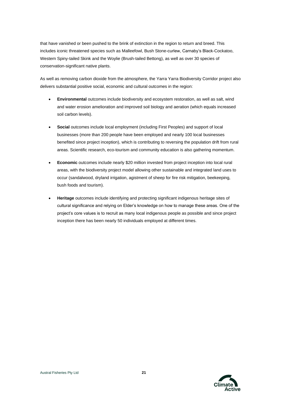that have vanished or been pushed to the brink of extinction in the region to return and breed. This includes iconic threatened species such as Malleefowl, Bush Stone-curlew, Carnaby's Black-Cockatoo, Western Spiny-tailed Skink and the Woylie (Brush-tailed Bettong), as well as over 30 species of conservation-significant native plants.

As well as removing carbon dioxide from the atmosphere, the Yarra Yarra Biodiversity Corridor project also delivers substantial positive social, economic and cultural outcomes in the region:

- **Environmental** outcomes include biodiversity and ecosystem restoration, as well as salt, wind and water erosion amelioration and improved soil biology and aeration (which equals increased soil carbon levels).
- **Social** outcomes include local employment (including First Peoples) and support of local businesses (more than 200 people have been employed and nearly 100 local businesses benefited since project inception), which is contributing to reversing the population drift from rural areas. Scientific research, eco-tourism and community education is also gathering momentum.
- **Economic** outcomes include nearly \$20 million invested from project inception into local rural areas, with the biodiversity project model allowing other sustainable and integrated land uses to occur (sandalwood, dryland irrigation, agistment of sheep for fire risk mitigation, beekeeping, bush foods and tourism).
- **Heritage** outcomes include identifying and protecting significant indigenous heritage sites of cultural significance and relying on Elder's knowledge on how to manage these areas. One of the project's core values is to recruit as many local indigenous people as possible and since project inception there has been nearly 50 individuals employed at different times.

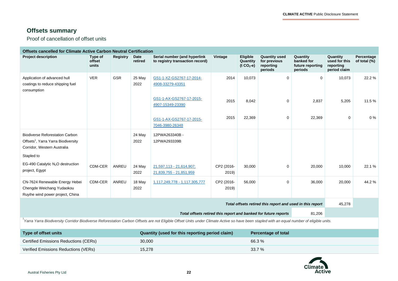÷.

### **Offsets summary**

Proof of cancellation of offset units

|                                                                                                                                                                                           | <b>Offsets cancelled for Climate Active Carbon Neutral Certification</b> |          |                 |                                                                 |                     |                                     |                                                              |                                                       |                                                        |                               |
|-------------------------------------------------------------------------------------------------------------------------------------------------------------------------------------------|--------------------------------------------------------------------------|----------|-----------------|-----------------------------------------------------------------|---------------------|-------------------------------------|--------------------------------------------------------------|-------------------------------------------------------|--------------------------------------------------------|-------------------------------|
| <b>Project description</b>                                                                                                                                                                | Type of<br>offset<br>units                                               | Registry | Date<br>retired | Serial number (and hyperlink<br>to registry transaction record) | Vintage             | Eligible<br>Quantity<br>$(t CO2-e)$ | <b>Quantity used</b><br>for previous<br>reporting<br>periods | Quantity<br>banked for<br>future reporting<br>periods | Quantity<br>used for this<br>reporting<br>period claim | Percentage<br>of total $(\%)$ |
| Application of advanced hull<br>coatings to reduce shipping fuel<br>consumption                                                                                                           | <b>VER</b>                                                               | GSR      | 25 May<br>2022  | GS1-1-XZ-GS2767-17-2014-<br>4908-33279-43351                    | 2014                | 10,073                              | $\mathbf 0$                                                  | $\mathbf 0$                                           | 10,073                                                 | 22.2 %                        |
|                                                                                                                                                                                           |                                                                          |          |                 | GS1-1-AX-GS2767-17-2015-<br>4907-15349-23390                    | 2015                | 8,042                               | $\mathbf 0$                                                  | 2,837                                                 | 5,205                                                  | 11.5 %                        |
|                                                                                                                                                                                           |                                                                          |          |                 | GS1-1-AX-GS2767-17-2015-<br>7046-3980-26348                     | 2015                | 22,369                              | $\mathbf 0$                                                  | 22,369                                                | 0                                                      | $0\%$                         |
| <b>Biodiverse Reforestation Carbon</b><br>Offsets <sup>1</sup> , Yarra Yarra Biodiversity<br>Corridor, Western Australia<br>Stapled to                                                    |                                                                          |          | 24 May<br>2022  | 12PWA263340B -<br>12PWA293339B                                  |                     |                                     |                                                              |                                                       |                                                        |                               |
| EG-490 Catalytic $N_2O$ destruction<br>project, Egypt                                                                                                                                     | CDM-CER                                                                  | ANREU    | 24 May<br>2022  | 21,597,113 - 21,614,907;<br>21,839,755 - 21,851,959             | CP2 (2016-<br>2019) | 30,000                              | $\mathbf 0$                                                  | 20,000                                                | 10,000                                                 | 22.1 %                        |
| CN-7624 Renewable Energy Hebei<br>Chengde Weichang Yudaokou<br>Ruyihe wind power project, China                                                                                           | CDM-CER                                                                  | ANREU    | 18 May<br>2022  | 1,117,249,778 - 1,117,305,777                                   | CP2 (2016-<br>2019) | 56,000                              | $\mathbf 0$                                                  | 36,000                                                | 20,000                                                 | 44.2 %                        |
|                                                                                                                                                                                           |                                                                          |          |                 |                                                                 |                     |                                     | Total offsets retired this report and used in this report    |                                                       | 45,278                                                 |                               |
| Total offsets retired this report and banked for future reports<br>81,206                                                                                                                 |                                                                          |          |                 |                                                                 |                     |                                     |                                                              |                                                       |                                                        |                               |
| Yarra Yarra Biodiversity Corridor Biodiverse Reforestation Carbon Offsets are not Eligible Offset Units under Climate Active so have been stapled with an equal number of eligible units. |                                                                          |          |                 |                                                                 |                     |                                     |                                                              |                                                       |                                                        |                               |
| Type of offset units                                                                                                                                                                      |                                                                          |          |                 | Quantity (used for this reporting period claim)                 |                     |                                     | <b>Percentage of total</b>                                   |                                                       |                                                        |                               |
| <b>Certified Emissions Reductions (CERs)</b>                                                                                                                                              |                                                                          |          | 30,000          |                                                                 |                     | 66.3%                               |                                                              |                                                       |                                                        |                               |
| Verified Emissions Reductions (VERs)                                                                                                                                                      |                                                                          |          | 15,278          |                                                                 |                     | 33.7 %                              |                                                              |                                                       |                                                        |                               |

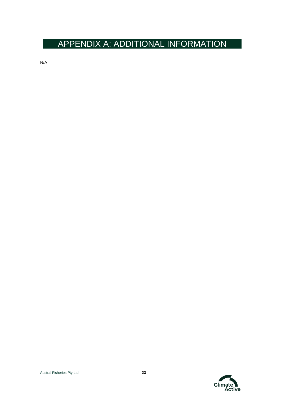# <span id="page-22-0"></span>APPENDIX A: ADDITIONAL INFORMATION

N/A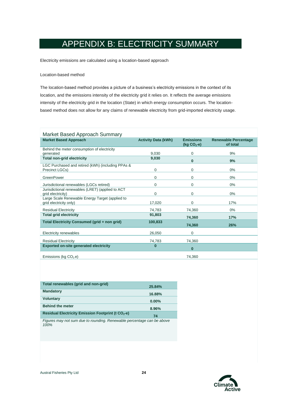# APPENDIX B: ELECTRICITY SUMMARY

<span id="page-23-0"></span>Electricity emissions are calculated using a location-based approach

#### Location-based method

The location-based method provides a picture of a business's electricity emissions in the context of its location, and the emissions intensity of the electricity grid it relies on. It reflects the average emissions intensity of the electricity grid in the location (State) in which energy consumption occurs. The locationbased method does not allow for any claims of renewable electricity from grid-imported electricity usage.

| Market Based Approach Summary                                             |                            |                                  |                                         |  |  |  |  |  |
|---------------------------------------------------------------------------|----------------------------|----------------------------------|-----------------------------------------|--|--|--|--|--|
| <b>Market Based Approach</b>                                              | <b>Activity Data (kWh)</b> | <b>Emissions</b><br>$(Kg CO2-e)$ | <b>Renewable Percentage</b><br>of total |  |  |  |  |  |
| Behind the meter consumption of electricity<br>generated                  | 9.030                      | 0                                | 9%                                      |  |  |  |  |  |
| <b>Total non-grid electricity</b>                                         | 9,030                      | $\bf{0}$                         | 9%                                      |  |  |  |  |  |
| LGC Purchased and retired (kWh) (including PPAs &<br>Precinct LGCs)       | $\Omega$                   | 0                                | 0%                                      |  |  |  |  |  |
| GreenPower                                                                | $\Omega$                   | 0                                | 0%                                      |  |  |  |  |  |
| Jurisdictional renewables (LGCs retired)                                  | $\Omega$                   | 0                                | 0%                                      |  |  |  |  |  |
| Jurisdictional renewables (LRET) (applied to ACT<br>grid electricity)     | $\Omega$                   | 0                                | 0%                                      |  |  |  |  |  |
| Large Scale Renewable Energy Target (applied to<br>grid electricity only) | 17,020                     | 0                                | 17%                                     |  |  |  |  |  |
| <b>Residual Electricity</b>                                               | 74,783                     | 74,360                           | 0%                                      |  |  |  |  |  |
| <b>Total grid electricity</b>                                             | 91,803                     | 74,360                           | 17%                                     |  |  |  |  |  |
| Total Electricity Consumed (grid + non grid)                              | 100,833                    | 74,360                           | 26%                                     |  |  |  |  |  |
| Electricity renewables                                                    | 26.050                     | $\mathbf 0$                      |                                         |  |  |  |  |  |
| <b>Residual Electricity</b>                                               | 74,783                     | 74,360                           |                                         |  |  |  |  |  |
| <b>Exported on-site generated electricity</b>                             | $\mathbf{0}$               | $\bf{0}$                         |                                         |  |  |  |  |  |
| Emissions (kg $CO2$ .e)                                                   |                            | 74.360                           |                                         |  |  |  |  |  |

| Total renewables (grid and non-grid)                                   | 25.84%   |
|------------------------------------------------------------------------|----------|
| <b>Mandatory</b>                                                       | 16.88%   |
| <b>Voluntary</b>                                                       | $0.00\%$ |
| <b>Behind the meter</b>                                                | 8.96%    |
| Residual Electricity Emission Footprint (t CO <sub>2</sub> -e)         | 74       |
| Figures may not sum due to rounding. Renewable percentage can be above |          |

*Figures may not sum due to rounding. Renewable percentage can be above 100%* 

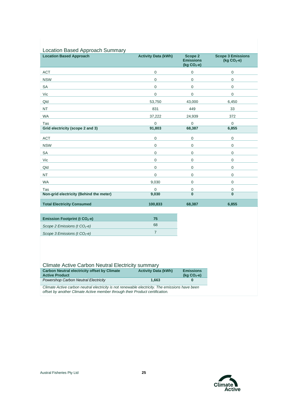| Location Based Approach Summary                |                            |                                                |                                             |  |  |  |
|------------------------------------------------|----------------------------|------------------------------------------------|---------------------------------------------|--|--|--|
| <b>Location Based Approach</b>                 | <b>Activity Data (kWh)</b> | Scope 2<br><b>Emissions</b><br>(kg $CO2 - e$ ) | <b>Scope 3 Emissions</b><br>(kg $CO2 - e$ ) |  |  |  |
| <b>ACT</b>                                     | $\overline{0}$             | $\pmb{0}$                                      | $\mathsf{O}\xspace$                         |  |  |  |
| <b>NSW</b>                                     | $\mathbf 0$                | $\mathbf 0$                                    | $\mathsf 0$                                 |  |  |  |
| SA                                             | $\mathbf 0$                | $\pmb{0}$                                      | 0                                           |  |  |  |
| Vic                                            | $\mathbf 0$                | $\pmb{0}$                                      | $\mathsf 0$                                 |  |  |  |
| Qld                                            | 53,750                     | 43,000                                         | 6,450                                       |  |  |  |
| <b>NT</b>                                      | 831                        | 449                                            | 33                                          |  |  |  |
| <b>WA</b>                                      | 37,222                     | 24,939                                         | 372                                         |  |  |  |
| Tas                                            | $\mathbf 0$                | $\mathsf{O}\xspace$                            | $\mathbf 0$                                 |  |  |  |
| Grid electricity (scope 2 and 3)               | 91,803                     | 68,387                                         | 6,855                                       |  |  |  |
| <b>ACT</b>                                     | $\mathbf 0$                | $\pmb{0}$                                      | $\pmb{0}$                                   |  |  |  |
| <b>NSW</b>                                     | $\mathbf 0$                | $\mathbf 0$                                    | $\mathsf 0$                                 |  |  |  |
| SA                                             | $\mathbf 0$                | $\mathbf 0$                                    | $\mathbf 0$                                 |  |  |  |
| Vic                                            | $\mathbf 0$                | $\mathbf 0$                                    | $\mathsf 0$                                 |  |  |  |
| Qld                                            | $\mathbf 0$                | $\mathbf 0$                                    | $\mathbf 0$                                 |  |  |  |
| <b>NT</b>                                      | 0                          | $\mathbf 0$                                    | $\mathsf 0$                                 |  |  |  |
| <b>WA</b>                                      | 9,030                      | $\mathbf 0$                                    | 0                                           |  |  |  |
| Tas                                            | $\mathsf 0$                | $\pmb{0}$                                      | 0                                           |  |  |  |
| Non-grid electricity (Behind the meter)        | 9,030                      | $\overline{0}$                                 | $\bf{0}$                                    |  |  |  |
| <b>Total Electricity Consumed</b>              | 100,833                    | 68,387                                         | 6,855                                       |  |  |  |
| <b>Emission Footprint (t CO<sub>2</sub>-e)</b> | 75                         |                                                |                                             |  |  |  |
| Scope 2 Emissions ( $t$ CO <sub>2</sub> -e)    | 68                         |                                                |                                             |  |  |  |
| Scope 3 Emissions (t CO <sub>2-e)</sub>        | $\overline{7}$             |                                                |                                             |  |  |  |
|                                                |                            |                                                |                                             |  |  |  |

#### Climate Active Carbon Neutral Electricity summary

| <b>Carbon Neutral electricity offset by Climate</b><br><b>Active Product</b> | <b>Activity Data (kWh)</b> | <b>Emissions</b><br>$($ kg CO <sub>2</sub> -e) |
|------------------------------------------------------------------------------|----------------------------|------------------------------------------------|
| Powershop Carbon Neutral Electricity                                         | 1.663                      | 0                                              |

*Climate Active carbon neutral electricity is not renewable electricity. The emissions have been offset by another Climate Active member through their Product certification.* 

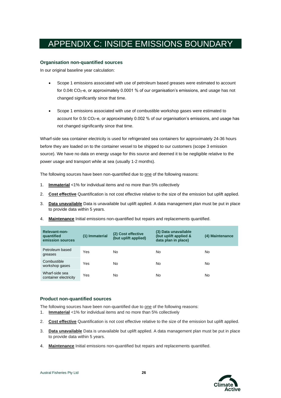# <span id="page-25-0"></span>APPENDIX C: INSIDE EMISSIONS BOUNDARY

#### **Organisation non-quantified sources**

In our original baseline year calculation:

- Scope 1 emissions associated with use of petroleum based greases were estimated to account for 0.04t CO<sub>2</sub>-e, or approximately 0.0001 % of our organisation's emissions, and usage has not changed significantly since that time.
- Scope 1 emissions associated with use of combustible workshop gases were estimated to account for 0.5t CO<sub>2</sub>-e, or approximately 0.002 % of our organisation's emissions, and usage has not changed significantly since that time.

Wharf-side sea container electricity is used for refrigerated sea containers for approximately 24-36 hours before they are loaded on to the container vessel to be shipped to our customers (scope 3 emission source). We have no data on energy usage for this source and deemed it to be negligible relative to the power usage and transport while at sea (usually 1-2 months).

The following sources have been non-quantified due to one of the following reasons:

- 1. **Immaterial** <1% for individual items and no more than 5% collectively
- 2. **Cost effective** Quantification is not cost effective relative to the size of the emission but uplift applied.
- 3. **Data unavailable** Data is unavailable but uplift applied. A data management plan must be put in place to provide data within 5 years.
- 4. **Maintenance** Initial emissions non-quantified but repairs and replacements quantified.

| <b>Relevant-non-</b><br>quantified<br>emission sources | (1) Immaterial | (2) Cost effective<br>(but uplift applied) | (3) Data unavailable<br>(but uplift applied &<br>data plan in place) | (4) Maintenance |
|--------------------------------------------------------|----------------|--------------------------------------------|----------------------------------------------------------------------|-----------------|
| Petroleum based<br>greases                             | Yes            | No                                         | No                                                                   | No              |
| Combustible<br>workshop gases                          | Yes            | No                                         | No                                                                   | No              |
| Wharf-side sea<br>container electricity                | Yes            | No                                         | No                                                                   | No              |

#### **Product non-quantified sources**

The following sources have been non-quantified due to one of the following reasons:

- 1. **Immaterial** <1% for individual items and no more than 5% collectively
- 2. **Cost effective** Quantification is not cost effective relative to the size of the emission but uplift applied.
- 3. **Data unavailable** Data is unavailable but uplift applied. A data management plan must be put in place to provide data within 5 years.
- 4. **Maintenance** Initial emissions non-quantified but repairs and replacements quantified.

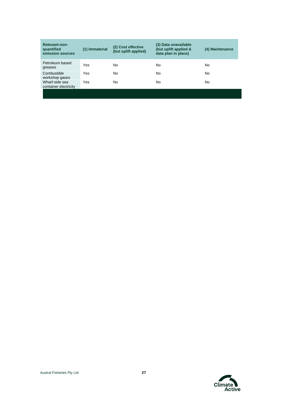| Relevant-non-<br>quantified<br>emission sources | (1) Immaterial | (2) Cost effective<br>(but uplift applied) | (3) Data unavailable<br>(but uplift applied &<br>data plan in place) | (4) Maintenance |
|-------------------------------------------------|----------------|--------------------------------------------|----------------------------------------------------------------------|-----------------|
| Petroleum based<br>greases                      | Yes            | No                                         | No                                                                   | No              |
| Combustible<br>workshop gases                   | Yes            | No                                         | No                                                                   | No              |
| Wharf-side sea<br>container electricity         | Yes            | No                                         | No                                                                   | No              |

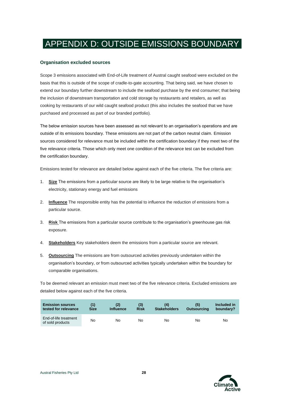# <span id="page-27-0"></span>APPENDIX D: OUTSIDE EMISSIONS BOUNDARY

#### **Organisation excluded sources**

Scope 3 emissions associated with End-of-Life treatment of Austral caught seafood were excluded on the basis that this is outside of the scope of cradle-to-gate accounting. That being said, we have chosen to extend our boundary further downstream to include the seafood purchase by the end consumer; that being the inclusion of downstream transportation and cold storage by restaurants and retailers, as well as cooking by restaurants of our wild caught seafood product (this also includes the seafood that we have purchased and processed as part of our branded portfolio).

The below emission sources have been assessed as not relevant to an organisation's operations and are outside of its emissions boundary. These emissions are not part of the carbon neutral claim. Emission sources considered for relevance must be included within the certification boundary if they meet two of the five relevance criteria. Those which only meet one condition of the relevance test can be excluded from the certification boundary.

Emissions tested for relevance are detailed below against each of the five criteria. The five criteria are:

- 1. **Size** The emissions from a particular source are likely to be large relative to the organisation's electricity, stationary energy and fuel emissions
- 2. **Influence** The responsible entity has the potential to influence the reduction of emissions from a particular source.
- 3. **Risk** The emissions from a particular source contribute to the organisation's greenhouse gas risk exposure.
- 4. **Stakeholders** Key stakeholders deem the emissions from a particular source are relevant.
- 5. **Outsourcing** The emissions are from outsourced activities previously undertaken within the organisation's boundary, or from outsourced activities typically undertaken within the boundary for comparable organisations.

To be deemed relevant an emission must meet two of the five relevance criteria. Excluded emissions are detailed below against each of the five criteria.

| <b>Emission sources</b><br>tested for relevance | <b>Size</b> | <b>Influence</b> | (3)<br><b>Risk</b> | (4)<br><b>Stakeholders</b> | <b>Outsourcing</b> | Included in<br>boundary? |
|-------------------------------------------------|-------------|------------------|--------------------|----------------------------|--------------------|--------------------------|
| End-of-life treatment<br>of sold products       | No          | No               | No                 | No                         | No                 | No                       |

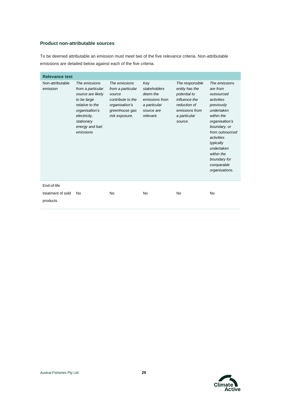#### **Product non-attributable sources**

To be deemed attributable an emission must meet two of the five relevance criteria. Non-attributable emissions are detailed below against each of the five criteria.

| <b>Relevance test</b>                        |                                                                                                                                                                           |                                                                                                                         |                                                                                              |                                                                                                                                 |                                                                                                                                                                                                                                                             |
|----------------------------------------------|---------------------------------------------------------------------------------------------------------------------------------------------------------------------------|-------------------------------------------------------------------------------------------------------------------------|----------------------------------------------------------------------------------------------|---------------------------------------------------------------------------------------------------------------------------------|-------------------------------------------------------------------------------------------------------------------------------------------------------------------------------------------------------------------------------------------------------------|
| Non-attributable<br>emission                 | The emissions<br>from a particular<br>source are likely<br>to be large<br>relative to the<br>organisation's<br>electricity,<br>stationary<br>energy and fuel<br>emissions | The emissions<br>from a particular<br>source<br>contribute to the<br>organisation's<br>greenhouse gas<br>risk exposure. | Key<br>stakeholders<br>deem the<br>emissions from<br>a particular<br>source are<br>relevant. | The responsible<br>entity has the<br>potential to<br>influence the<br>reduction of<br>emissions from<br>a particular<br>source. | The emissions<br>are from<br>outsourced<br>activities<br>previously<br>undertaken<br>within the<br>organisation's<br>boundary, or<br>from outsourced<br>activities<br>typically<br>undertaken<br>within the<br>boundary for<br>comparable<br>organisations. |
| End-of-life<br>treatment of sold<br>products | No                                                                                                                                                                        | <b>No</b>                                                                                                               | No                                                                                           | No                                                                                                                              | No                                                                                                                                                                                                                                                          |